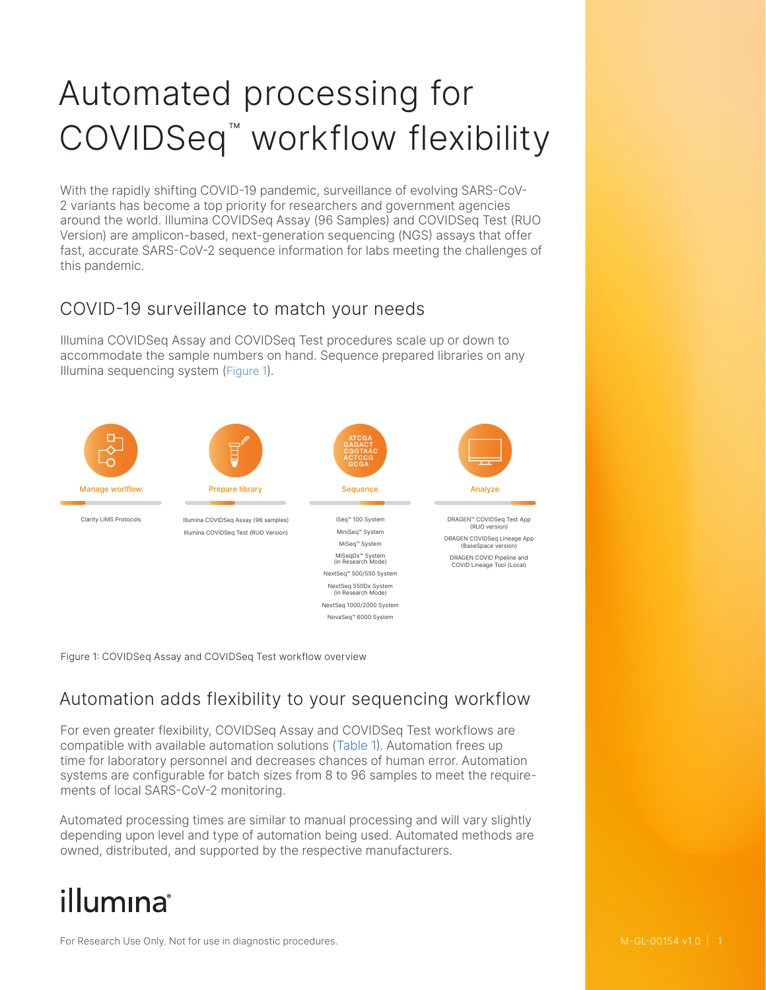# Automated processing for COVIDSeq<sup>™</sup> workflow flexibility

With the rapidly shifting COVID-19 pandemic, surveillance of evolving SARS-CoV-2 variants has become a top priority for researchers and government agencies around the world. Illumina COVIDSeq Assay (96 Samples) and COVIDSeq Test (RUO Version) are amplicon-based, next-generation sequencing (NGS) assays that offer fast, accurate SARS-CoV-2 sequence information for labs meeting the challenges of this pandemic.

### COVID-19 surveillance to match your needs

Illumina COVIDSeq Assay and COVIDSeq Test procedures scale up or down to accommodate the sample numbers on hand. Sequence prepared libraries on any Illumina sequencing system ([Figure](#page-0-0) 1).



<span id="page-0-0"></span>Figure 1: COVIDSeq Assay and COVIDSeq Test workflow overview

### Automation adds flexibility to your sequencing workflow

For even greater flexibility, COVIDSeq Assay and COVIDSeq Test workflows are compatible with available automation solutions [\(Table 1\)](#page-1-0). Automation frees up time for laboratory personnel and decreases chances of human error. Automation systems are configurable for batch sizes from 8 to 96 samples to meet the requirements of local SARS-CoV-2 monitoring.

Automated processing times are similar to manual processing and will vary slightly depending upon level and type of automation being used. Automated methods are owned, distributed, and supported by the respective manufacturers.

## illumına

For Research Use Only. Not for use in diagnostic procedures.